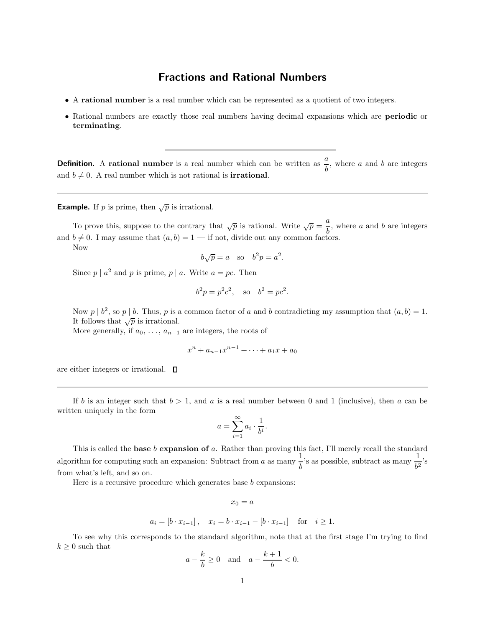## Fractions and Rational Numbers

- A rational number is a real number which can be represented as a quotient of two integers.
- Rational numbers are exactly those real numbers having decimal expansions which are **periodic** or terminating.

**Definition.** A rational number is a real number which can be written as  $\frac{a}{b}$ , where a and b are integers and  $b \neq 0$ . A real number which is not rational is **irrational**.

**Example.** If p is prime, then  $\sqrt{p}$  is irrational.

To prove this, suppose to the contrary that  $\sqrt{p}$  is rational. Write  $\sqrt{p} = \frac{a}{l}$  $\frac{a}{b}$ , where a and b are integers and  $b \neq 0$ . I may assume that  $(a, b) = 1$  — if not, divide out any common factors. Now

$$
b\sqrt{p} = a
$$
 so  $b^2p = a^2$ .

Since  $p \mid a^2$  and  $p$  is prime,  $p \mid a$ . Write  $a = pc$ . Then

$$
b^2p = p^2c^2
$$
, so  $b^2 = pc^2$ .

Now  $p \mid b^2$ , so  $p \mid b$ . Thus,  $p$  is a common factor of  $a$  and  $b$  contradicting my assumption that  $(a, b) = 1$ . It follows that  $\sqrt{p}$  is irrational.

More generally, if  $a_0, \ldots, a_{n-1}$  are integers, the roots of

$$
x^n + a_{n-1}x^{n-1} + \dots + a_1x + a_0
$$

are either integers or irrational.  $\square$ 

If b is an integer such that  $b > 1$ , and a is a real number between 0 and 1 (inclusive), then a can be written uniquely in the form

$$
a = \sum_{i=1}^{\infty} a_i \cdot \frac{1}{b^i}.
$$

This is called the **base**  $b$  **expansion of**  $a$ . Rather than proving this fact, I'll merely recall the standard algorithm for computing such an expansion: Subtract from a as many  $\frac{1}{t}$  $\frac{1}{b}$ 's as possible, subtract as many  $\frac{1}{b^2}$ 's from what's left, and so on.

Here is a recursive procedure which generates base  $b$  expansions:

$$
x_0=a
$$

$$
a_i = [b \cdot x_{i-1}],
$$
  $x_i = b \cdot x_{i-1} - [b \cdot x_{i-1}]$  for  $i \ge 1$ .

To see why this corresponds to the standard algorithm, note that at the first stage I'm trying to find  $k \geq 0$  such that

$$
a - \frac{k}{b} \ge 0
$$
 and  $a - \frac{k+1}{b} < 0$ .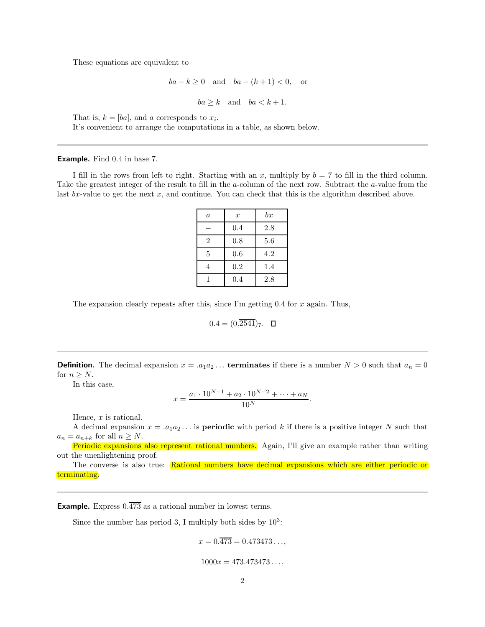These equations are equivalent to

$$
ba - k \ge 0 \quad \text{and} \quad ba - (k+1) < 0, \quad \text{or}
$$

$$
ba \ge k \quad \text{and} \quad ba < k+1.
$$

That is,  $k = [ba]$ , and a corresponds to  $x_i$ .

It's convenient to arrange the computations in a table, as shown below.

Example. Find 0.4 in base 7.

I fill in the rows from left to right. Starting with an x, multiply by  $b = 7$  to fill in the third column. Take the greatest integer of the result to fill in the a-column of the next row. Subtract the a-value from the last  $bx$ -value to get the next x, and continue. You can check that this is the algorithm described above.

| $\boldsymbol{a}$ | $\boldsymbol{x}$ | bx  |
|------------------|------------------|-----|
|                  | 0.4              | 2.8 |
| $\overline{2}$   | 0.8              | 5.6 |
| 5                | 0.6              | 4.2 |
| 4                | 0.2              | 1.4 |
|                  | 0.4              | 2.8 |

The expansion clearly repeats after this, since I'm getting  $0.4$  for x again. Thus,

$$
0.4 = (0.\overline{2541})_7. \quad \square
$$

**Definition.** The decimal expansion  $x = a_1 a_2 \dots$  **terminates** if there is a number  $N > 0$  such that  $a_n = 0$ for  $n \geq N$ .

In this case,

$$
x = \frac{a_1 \cdot 10^{N-1} + a_2 \cdot 10^{N-2} + \dots + a_N}{10^N}.
$$

Hence,  $x$  is rational.

A decimal expansion  $x = a_1 a_2 \dots$  is **periodic** with period k if there is a positive integer N such that  $a_n = a_{n+k}$  for all  $n \geq N$ .

Periodic expansions also represent rational numbers. Again, I'll give an example rather than writing out the unenlightening proof.

The converse is also true: Rational numbers have decimal expansions which are either periodic or terminating.

**Example.** Express  $0.\overline{473}$  as a rational number in lowest terms.

Since the number has period 3, I multiply both sides by  $10^3$ :

$$
x = 0.\overline{473} = 0.473473\ldots,
$$

## $1000x = 473.473473...$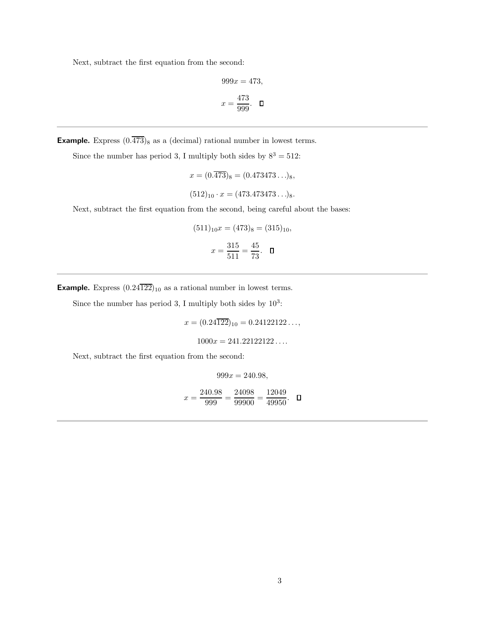Next, subtract the first equation from the second:

$$
999x = 473,
$$
  

$$
x = \frac{473}{999}.
$$

**Example.** Express  $(0.\overline{473})_8$  as a (decimal) rational number in lowest terms.

Since the number has period 3, I multiply both sides by  $8^3 = 512$ :

$$
x = (0.\overline{473})_8 = (0.473473...)_8,
$$
  

$$
(512)_{10} \cdot x = (473.473473...)_8.
$$

Next, subtract the first equation from the second, being careful about the bases:

$$
(511)_{10}x = (473)_{8} = (315)_{10},
$$

$$
x = \frac{315}{511} = \frac{45}{73}. \quad \Box
$$

**Example.** Express  $(0.24\overline{122})_{10}$  as a rational number in lowest terms.

Since the number has period 3, I multiply both sides by  $10^3$ :

 $x = (0.24\overline{122})_{10} = 0.24122122...$ 

$$
1000x = 241.22122122\ldots
$$

Next, subtract the first equation from the second:

 $999x = 240.98,$ 

$$
x = \frac{240.98}{999} = \frac{24098}{99900} = \frac{12049}{49950}. \quad \Box
$$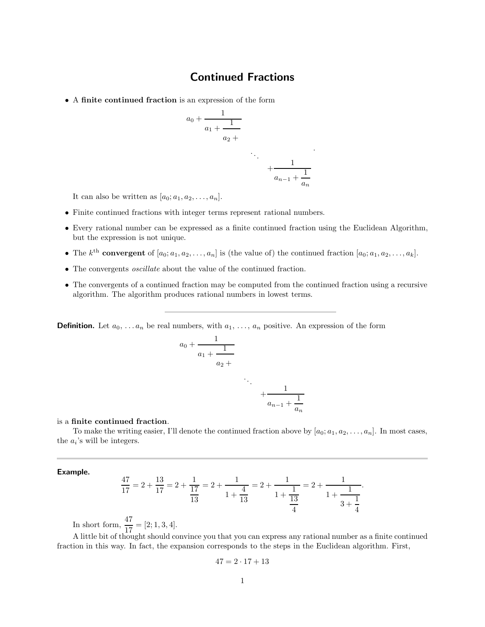## Continued Fractions

• A finite continued fraction is an expression of the form

$$
a_0 + \cfrac{1}{a_1 + \cfrac{1}{a_2 + \cfrac{1}{a_{n-1} + \cfrac{1}{a_n}}}}
$$

.

It can also be written as  $[a_0; a_1, a_2, \ldots, a_n]$ .

- Finite continued fractions with integer terms represent rational numbers.
- Every rational number can be expressed as a finite continued fraction using the Euclidean Algorithm, but the expression is not unique.
- The k<sup>th</sup> convergent of  $[a_0; a_1, a_2, \ldots, a_n]$  is (the value of) the continued fraction  $[a_0; a_1, a_2, \ldots, a_k]$ .
- The convergents *oscillate* about the value of the continued fraction.
- The convergents of a continued fraction may be computed from the continued fraction using a recursive algorithm. The algorithm produces rational numbers in lowest terms.

**Definition.** Let  $a_0, \ldots, a_n$  be real numbers, with  $a_1, \ldots, a_n$  positive. An expression of the form

$$
a_0 + \cfrac{1}{a_1 + \cfrac{1}{a_2 + \cfrac{1}{a_{n-1} + \cfrac{1}{a_n}}}}
$$

## is a finite continued fraction.

To make the writing easier, I'll denote the continued fraction above by  $[a_0; a_1, a_2, \ldots, a_n]$ . In most cases, the  $a_i$ 's will be integers.

 $a_n$ 

Example.

$$
\frac{47}{17} = 2 + \frac{13}{17} = 2 + \frac{1}{17} = 2 + \frac{1}{1 + \frac{4}{13}} = 2 + \frac{1}{1 + \frac{1}{13}} = 2 + \frac{1}{1 + \frac{1}{13}}.
$$

In short form,  $\frac{47}{17} = [2; 1, 3, 4].$ 

A little bit of thought should convince you that you can express any rational number as a finite continued fraction in this way. In fact, the expansion corresponds to the steps in the Euclidean algorithm. First,

$$
47=2\cdot 17+13
$$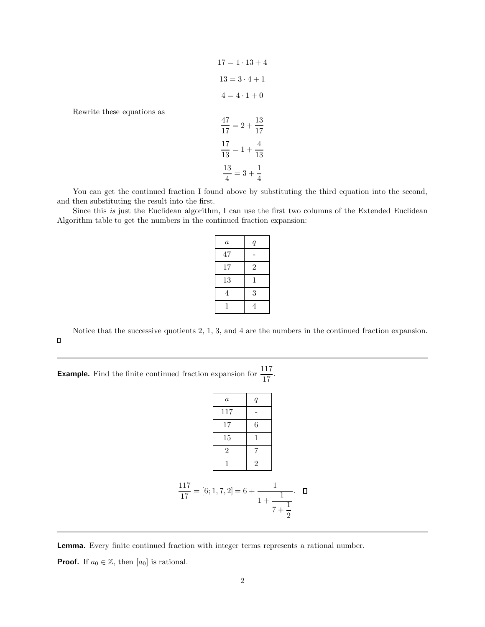$$
17 = 1 \cdot 13 + 4
$$

$$
13 = 3 \cdot 4 + 1
$$

$$
4 = 4 \cdot 1 + 0
$$

Rewrite these equations as

$$
\frac{47}{17} = 2 + \frac{13}{17}
$$

$$
\frac{17}{13} = 1 + \frac{4}{13}
$$

$$
\frac{13}{4} = 3 + \frac{1}{4}
$$

You can get the continued fraction I found above by substituting the third equation into the second, and then substituting the result into the first.

Since this is just the Euclidean algorithm, I can use the first two columns of the Extended Euclidean Algorithm table to get the numbers in the continued fraction expansion:

| $\it a$ | $\boldsymbol{q}$ |
|---------|------------------|
| 47      |                  |
| 17      | $\overline{2}$   |
| 13      | 1                |
| 4       | 3                |
|         | 4                |

Notice that the successive quotients 2, 1, 3, and 4 are the numbers in the continued fraction expansion.  $\Box$ 

**Example.** Find the finite continued fraction expansion for  $\frac{117}{17}$ .

|                                         | $\boldsymbol{a}$ | $\boldsymbol{q}$ |                        |  |
|-----------------------------------------|------------------|------------------|------------------------|--|
|                                         | 117              |                  |                        |  |
|                                         | 17               | 6                |                        |  |
|                                         | 15               | 1                |                        |  |
|                                         | $\overline{2}$   | 7                |                        |  |
|                                         | 1                | $\overline{2}$   |                        |  |
| $\frac{117}{17}$ = [6; 1, 7, 2] = 6 + - |                  | $1 +$            | 1<br>$7 + \frac{1}{2}$ |  |

Lemma. Every finite continued fraction with integer terms represents a rational number.

**Proof.** If  $a_0 \in \mathbb{Z}$ , then  $[a_0]$  is rational.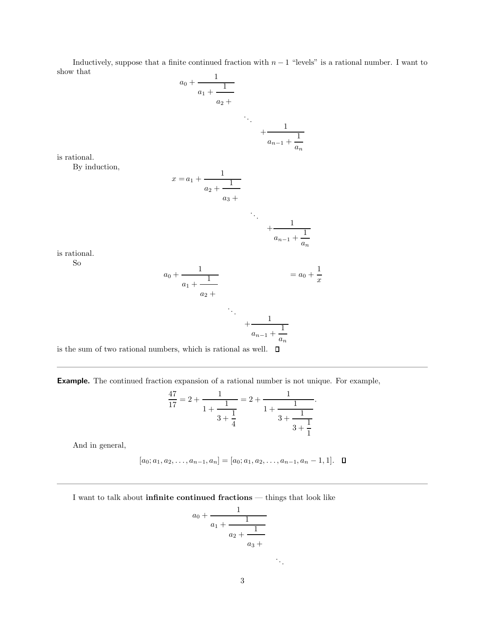Inductively, suppose that a finite continued fraction with  $n-1$  "levels" is a rational number. I want to show that

$$
a_0 + \cfrac{1}{a_1 + \cfrac{1}{a_2 + \cfrac{1}{a_{n-1} + \cfrac{1}{a_n}}}}
$$

is rational.

By induction,

$$
x = a_1 + \frac{1}{a_2 + \frac{1}{a_3 + \dots + \frac{1}{a_{n-1} + \frac{1}{a_n}}}}
$$
  
\n
$$
\therefore \frac{1}{a_{n-1} + \frac{1}{a_n}}
$$
  
\n
$$
a_0 + \frac{1}{a_1 + \frac{1}{a_2 + \dots + \frac{1}{a_{n-1} + \frac{1}{a_n}}}}
$$
  
\n
$$
\therefore \frac{1}{a_{n-1} + \frac{1}{a_n}}
$$
  
\n
$$
a_{n-1} + \frac{1}{a_n}
$$

is rational. So

is the sum of two rational numbers, which is rational as well.  $\;\;\Box$ 

Example. The continued fraction expansion of a rational number is not unique. For example,

$$
\frac{47}{17} = 2 + \frac{1}{1 + \frac{1}{3 + \frac{1}{4}}} = 2 + \frac{1}{1 + \frac{1}{3 + \frac{1}{3 + \frac{1}{1}}}}.
$$

And in general,

$$
[a_0; a_1, a_2, \ldots, a_{n-1}, a_n] = [a_0; a_1, a_2, \ldots, a_{n-1}, a_n - 1, 1]. \quad \Box
$$

I want to talk about infinite continued fractions — things that look like

$$
a_0 + \cfrac{1}{a_1 + \cfrac{1}{a_2 + \cfrac{1}{a_3 + \cdots}}}
$$

. . .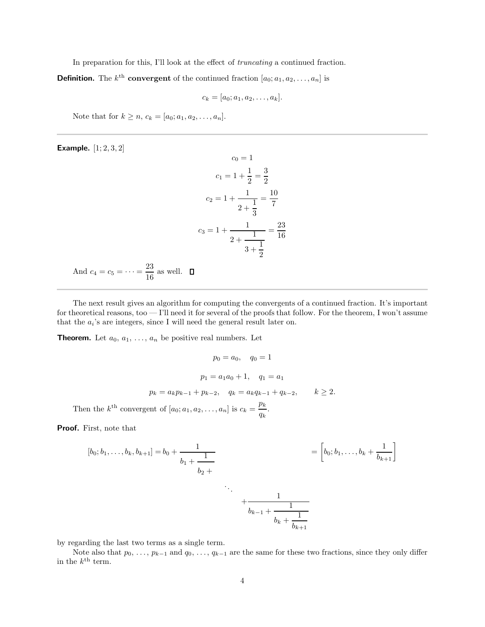In preparation for this, I'll look at the effect of *truncating* a continued fraction.

**Definition.** The  $k^{\text{th}}$  convergent of the continued fraction  $[a_0; a_1, a_2, \ldots, a_n]$  is

$$
c_k=[a_0;a_1,a_2,\ldots,a_k].
$$

Note that for  $k \ge n$ ,  $c_k = [a_0; a_1, a_2, \dots, a_n]$ .

Example. [1; 2, 3, 2]

$$
c_0 = 1
$$
  
\n
$$
c_1 = 1 + \frac{1}{2} = \frac{3}{2}
$$
  
\n
$$
c_2 = 1 + \frac{1}{2 + \frac{1}{3}} = \frac{10}{7}
$$
  
\n
$$
c_3 = 1 + \frac{1}{2 + \frac{1}{3 + \frac{1}{2}}} = \frac{23}{16}
$$
  
\n
$$
c_4 = c_5 = \dots = \frac{23}{16} \text{ as well.} \quad \Box
$$

And  $c$ 16 as well.

The next result gives an algorithm for computing the convergents of a continued fraction. It's important for theoretical reasons, too — I'll need it for several of the proofs that follow. For the theorem, I won't assume that the  $a_i$ 's are integers, since I will need the general result later on.

**Theorem.** Let  $a_0, a_1, \ldots, a_n$  be positive real numbers. Let

$$
p_0 = a_0, \quad q_0 = 1
$$
  
\n
$$
p_1 = a_1 a_0 + 1, \quad q_1 = a_1
$$
  
\n
$$
p_k = a_k p_{k-1} + p_{k-2}, \quad q_k = a_k q_{k-1} + q_{k-2}, \qquad k \ge 2.
$$
  
\n
$$
k^{\text{th}}
$$
 convergent of  $[a_0; a_1, a_2, \ldots, a_n]$  is  $c_k = \frac{p_k}{q_k}$ .

Then the  $k^{\text{th}}$  convergent of  $[a_0; a_1, a_2, \ldots, a_n]$  is  $c_k = \frac{p_k}{k}$ 

Proof. First, note that

$$
[b_0; b_1, \dots, b_k, b_{k+1}] = b_0 + \frac{1}{b_1 + \frac{1}{b_2 + \dots + \frac{1}{b_{k-1} + \frac{1}{b_k + \frac{1}{b_{k+1}}}}}} = \left[b_0; b_1, \dots, b_k + \frac{1}{b_{k+1}}\right]
$$

by regarding the last two terms as a single term.

Note also that  $p_0, \ldots, p_{k-1}$  and  $q_0, \ldots, q_{k-1}$  are the same for these two fractions, since they only differ in the  $k^{\text{th}}$  term.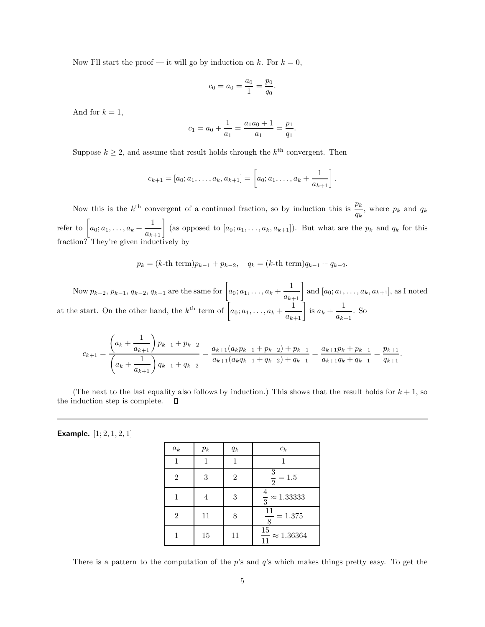Now I'll start the proof — it will go by induction on k. For  $k = 0$ ,

$$
c_0 = a_0 = \frac{a_0}{1} = \frac{p_0}{q_0}.
$$

And for  $k = 1$ ,

$$
c_1 = a_0 + \frac{1}{a_1} = \frac{a_1 a_0 + 1}{a_1} = \frac{p_1}{q_1}.
$$

Suppose  $k \geq 2$ , and assume that result holds through the  $k^{\text{th}}$  convergent. Then

$$
c_{k+1} = [a_0; a_1, \ldots, a_k, a_{k+1}] = \left[ a_0; a_1, \ldots, a_k + \frac{1}{a_{k+1}} \right].
$$

Now this is the  $k^{\text{th}}$  convergent of a continued fraction, so by induction this is  $\frac{p_k}{q_k}$ , where  $p_k$  and  $q_k$ refer to  $\left[a_0; a_1, \ldots, a_k + \frac{1}{a_{k+1}}\right]$  (as opposed to  $[a_0; a_1, \ldots, a_k, a_{k+1}]\right)$ . But what are the  $p_k$  and  $q_k$  for this fraction? They're given inductively by

$$
p_k = (k\text{-th term})p_{k-1} + p_{k-2}, q_k = (k\text{-th term})q_{k-1} + q_{k-2}.
$$

Now  $p_{k-2}, p_{k-1}, q_{k-2}, q_{k-1}$  are the same for  $\left[a_0; a_1, \ldots, a_k + \frac{1}{a_{k+1}}\right]$  and  $[a_0; a_1, \ldots, a_k, a_{k+1}]$ , as I noted at the start. On the other hand, the  $k^{\text{th}}$  term of  $\left[a_0; a_1, \ldots, a_k + \frac{1}{a_{k+1}}\right]$  is  $a_k + \frac{1}{a_k}$ .  $\frac{1}{a_{k+1}}$ . So

$$
c_{k+1} = \frac{\left(a_k + \frac{1}{a_{k+1}}\right) p_{k-1} + p_{k-2}}{\left(a_k + \frac{1}{a_{k+1}}\right) q_{k-1} + q_{k-2}} = \frac{a_{k+1}(a_k p_{k-1} + p_{k-2}) + p_{k-1}}{a_{k+1}(a_k q_{k-1} + q_{k-2}) + q_{k-1}} = \frac{a_{k+1} p_k + p_{k-1}}{a_{k+1} q_k + q_{k-1}} = \frac{p_{k+1}}{q_{k+1}}.
$$

(The next to the last equality also follows by induction.) This shows that the result holds for  $k + 1$ , so the induction step is complete. Д

**Example.**  $[1; 2, 1, 2, 1]$ 

| $a_k$          | $p_k$ | $q_k$          | $c_k$                           |
|----------------|-------|----------------|---------------------------------|
|                |       |                |                                 |
| $\overline{2}$ | 3     | $\overline{2}$ | $\frac{3}{2} = 1.5$             |
|                | 4     | 3              | $\frac{4}{3} \approx 1.33333$   |
| $\overline{2}$ | 11    | 8              | $\frac{11}{8} = 1.375$          |
|                | 15    | 11             | $\frac{15}{11} \approx 1.36364$ |

There is a pattern to the computation of the  $p$ 's and  $q$ 's which makes things pretty easy. To get the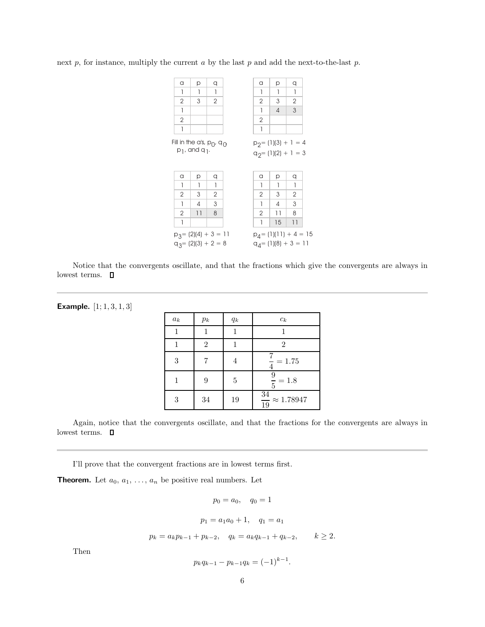| a                                                                                                        | р                                                              | q              |  | a                                                | р  | q  |  |
|----------------------------------------------------------------------------------------------------------|----------------------------------------------------------------|----------------|--|--------------------------------------------------|----|----|--|
| 1                                                                                                        | 1                                                              | 1              |  | 1                                                | 1  | 1  |  |
| $\mathbf{2}$                                                                                             | 3                                                              | $\overline{2}$ |  | 2                                                | 3  | 2  |  |
| 1                                                                                                        |                                                                |                |  | 1                                                | 4  | 3  |  |
| $\mathbf{2}$                                                                                             |                                                                |                |  | $\overline{2}$                                   |    |    |  |
| 1                                                                                                        |                                                                |                |  | 1                                                |    |    |  |
|                                                                                                          | Fill in the a's, $p_0$ , $q_0$<br>$p_1$ , and q <sub>1</sub> . |                |  | $p_2 = (1)(3) + 1 = 4$<br>$q_2 = (1)(2) + 1 = 3$ |    |    |  |
| a                                                                                                        | р                                                              | q              |  | a                                                | р  | q  |  |
| 1                                                                                                        | 1                                                              | 1              |  | 1                                                | 1  | 1  |  |
| 2                                                                                                        | 3                                                              | 2              |  | 2                                                | 3  | 2  |  |
| 1                                                                                                        | 4                                                              | 3              |  | 1                                                | 4  | 3  |  |
| 2                                                                                                        | 11                                                             | 8              |  | 2                                                | 11 | 8  |  |
| 1                                                                                                        |                                                                |                |  | 1                                                | 15 | 11 |  |
| $p_4 = (1)(11) + 4 = 15$<br>$p_3 = (2)(4) + 3 = 11$<br>$q_3 = (2)(3) + 2 = 8$<br>$q_4$ = (1)(8) + 3 = 11 |                                                                |                |  |                                                  |    |    |  |

next  $p$ , for instance, multiply the current  $a$  by the last  $p$  and add the next-to-the-last  $p$ .

Notice that the convergents oscillate, and that the fractions which give the convergents are always in lowest terms.  $\qed$ 

| <b>Example.</b> $[1; 1, 3, 1, 3]$ |  |  |  |
|-----------------------------------|--|--|--|
|-----------------------------------|--|--|--|

| $a_k$ | $p_k$          | $q_k$          | $c_k$                           |
|-------|----------------|----------------|---------------------------------|
|       |                |                |                                 |
|       | $\overline{2}$ |                | 2                               |
| 3     |                | 4              | $\frac{7}{4} = 1.75$            |
|       | 9              | $\overline{5}$ | $\frac{9}{5} = 1.8$             |
| 3     | 34             | 19             | $\frac{34}{19} \approx 1.78947$ |

Again, notice that the convergents oscillate, and that the fractions for the convergents are always in lowest terms.  $\quad \Box$ 

I'll prove that the convergent fractions are in lowest terms first.

**Theorem.** Let  $a_0, a_1, \ldots, a_n$  be positive real numbers. Let

$$
p_0 = a_0
$$
,  $q_0 = 1$   
 $p_1 = a_1a_0 + 1$ ,  $q_1 = a_1$   
 $p_k = a_kp_{k-1} + p_{k-2}$ ,  $q_k = a_kq_{k-1} + q_{k-2}$ ,  $k \ge 2$ .

Then

$$
p_k q_{k-1} - p_{k-1} q_k = (-1)^{k-1}.
$$